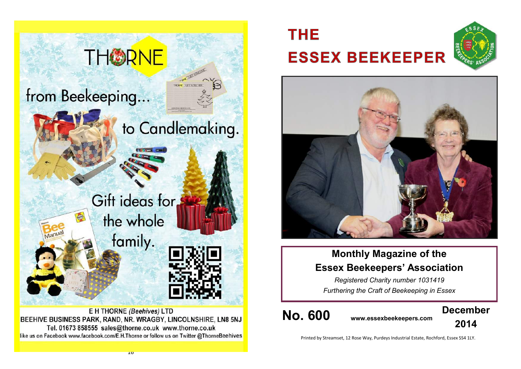

BEEHIVE BUSINESS PARK, RAND, NR. WRAGBY, LINCOLNSHIRE, LN8 5NJ Tel. 01673 858555 sales@thorne.co.uk www.thorne.co.uk like us on Facebook www.facebook.com/E.H.Thorne or follow us on Twitter @ThorneBeehives

# **THE ESSEX BEEKEEPER**





## **Monthly Magazine of the Essex Beekeepers' Association**

*Registered Charity number 1031419 Furthering the Craft of Beekeeping in Essex*

**No. 600 www.essexbeekeepers.com**



Printed by Streamset, 12 Rose Way, Purdeys Industrial Estate, Rochford, Essex SS4 1LY.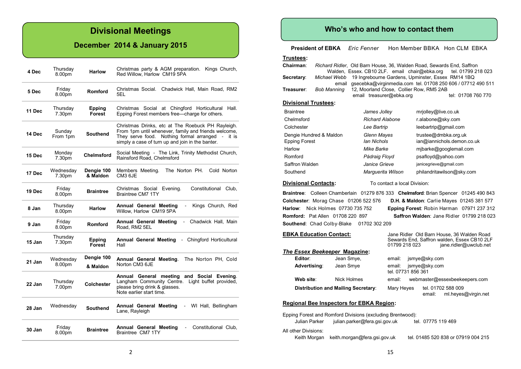## **Divisional Meetings**

## **December 2014 & January 2015**

| 4 Dec  | Thursday<br>8.00pm  | <b>Harlow</b>           | Christmas party & AGM preparation. Kings Church,<br>Red Willow, Harlow CM19 5PA                                                                                                                                              |
|--------|---------------------|-------------------------|------------------------------------------------------------------------------------------------------------------------------------------------------------------------------------------------------------------------------|
| 5 Dec  | Friday<br>8.00pm    | <b>Romford</b>          | Christmas Social.<br>Chadwick Hall, Main Road, RM2<br>5EL                                                                                                                                                                    |
| 11 Dec | Thursdav<br>7.30pm  | Epping<br><b>Forest</b> | Christmas Social at Chingford Horticultural Hall.<br>Epping Forest members free—charge for others.                                                                                                                           |
| 14 Dec | Sunday<br>From 1pm  | <b>Southend</b>         | Christmas Drinks, etc at The Roebuck PH Rayleigh.<br>From 1pm until whenever, family and friends welcome,<br>They serve food. Nothing formal arranged<br>$\sim$<br>it is<br>simply a case of turn up and join in the banter. |
| 15 Dec | Monday<br>7.30pm    | <b>Chelmsford</b>       | Social Meeting - The Link, Trinity Methodist Church,<br>Rainsford Road, Chelmsford                                                                                                                                           |
| 17 Dec | Wednesday<br>7.30pm | Dengie 100<br>& Maldon  | The Norton PH.<br>Cold Norton<br>Members Meeting.<br>CM3 6JE                                                                                                                                                                 |
| 19 Dec | Friday<br>8.00pm    | <b>Braintree</b>        | Constitutional Club.<br>Christmas<br>Social<br>Evening.<br><b>Braintree CM7 1TY</b>                                                                                                                                          |
| 8 Jan  | Thursday<br>8.00pm  | <b>Harlow</b>           | Kings Church, Red<br>Annual General Meeting<br>Willow, Harlow CM19 5PA                                                                                                                                                       |
| 9 Jan  | Friday<br>8.00pm    | <b>Romford</b>          | Annual General Meeting<br>Chadwick Hall. Main<br>ä,<br>Road, RM2 5EL                                                                                                                                                         |
| 15 Jan | Thursday<br>7.30pm  | Epping<br>Forest        | Annual General Meeting<br>Chingford Horticultural<br>Hall                                                                                                                                                                    |
| 21 Jan | Wednesday<br>8.00pm | Dengie 100<br>& Maldon  | Annual General Meeting.<br>The Norton PH, Cold<br>Norton CM3 6JE                                                                                                                                                             |
| 22 Jan | Thursday<br>7.00pm  | Colchester              | Annual General meeting<br>and Social Evening.<br>Langham Community Centre.<br>Light buffet provided,<br>please bring drink & glasses.<br>Note earlier start time.                                                            |
| 28 Jan | Wednesday           | <b>Southend</b>         | Annual General Meeting<br>WI Hall, Bellingham<br>Lane, Rayleigh                                                                                                                                                              |
| 30 Jan | Friday<br>8.00pm    | <b>Braintree</b>        | Annual General Meeting<br>Constitutional Club.<br>Braintree CM7 1TY                                                                                                                                                          |

## **Who's who and how to contact them**

**President of EBKA** *Eric Fenner* Hon Member BBKA Hon CLM EBKA

**Trustees:**

| <u> I rustees:</u>                   |                                                            |                                          |                              |                                                                                             |
|--------------------------------------|------------------------------------------------------------|------------------------------------------|------------------------------|---------------------------------------------------------------------------------------------|
| Chairman:                            | Walden, Essex. CB10 2LF. email chair@ebka.org              |                                          |                              | Richard Ridler, Old Barn House, 36, Walden Road, Sewards End, Saffron<br>tel. 01799 218 023 |
| Secretary:                           | Michael Webb                                               |                                          |                              | 19 Ingrebourne Gardens, Upminster, Essex RM14 1BQ                                           |
|                                      | email                                                      |                                          |                              | gsecebka@virginmedia.com tel. 01708 250 606 / 07712 490 511                                 |
| Treasurer:                           | Bob Manning                                                | 12, Moorland Close, Collier Row, RM5 2AB |                              |                                                                                             |
|                                      |                                                            | email treasurer@ebka.org                 |                              | tel: 01708 760 770                                                                          |
| <b>Divisional Trustees:</b>          |                                                            |                                          |                              |                                                                                             |
| <b>Braintree</b>                     |                                                            | James Jolley                             |                              | mrjolley@live.co.uk                                                                         |
| Chelmsford                           |                                                            | <b>Richard Alabone</b>                   |                              | r.alabone@sky.com                                                                           |
| Colchester                           |                                                            | Lee Bartrip                              |                              | leebartrip@gmail.com                                                                        |
| Dengie Hundred & Maldon              |                                                            | <b>Glenn Mayes</b>                       |                              | trustee@dmbka.org.uk                                                                        |
| <b>Epping Forest</b>                 |                                                            | <b>Ian Nichols</b>                       |                              | ian@iannichols.demon.co.uk                                                                  |
| Harlow                               |                                                            | Mike Barke                               |                              | mjbarke@googlemail.com                                                                      |
| Romford                              |                                                            | Pádraig Floyd                            |                              | psafloyd@yahoo.com                                                                          |
| Saffron Walden                       |                                                            | Janice Grieve                            |                              | janicegrieve@gmail.com                                                                      |
| Southend                             |                                                            | Marguerita Wilson                        |                              | philandritawilson@sky.com                                                                   |
| <b>Divisional Contacts:</b>          |                                                            | To contact a local Division:             |                              |                                                                                             |
|                                      |                                                            |                                          |                              | Braintree: Colleen Chamberlain 01279 876 333 Chelmsford: Brian Spencer 01245 490 843        |
|                                      | Colchester: Morag Chase 01206 522 576                      |                                          |                              | D.H. & Maldon: Carlie Mayes 01245 381 577                                                   |
| Harlow:                              | Nick Holmes 07730 735 752                                  |                                          |                              | Epping Forest: Robin Harman 07971 237 312                                                   |
|                                      | <b>Romford: Pat Allen 01708 220 897</b>                    |                                          |                              | Saffron Walden: Jane Ridler 01799 218 023                                                   |
|                                      | <b>Southend: Chad Colby-Blake</b>                          | 01702 302 209                            |                              |                                                                                             |
|                                      | <b>EBKA Education Contact:</b>                             |                                          |                              | Jane Ridler Old Barn House, 36 Walden Road                                                  |
|                                      |                                                            |                                          |                              | Sewards End, Saffron walden, Essex CB10 2LF                                                 |
|                                      |                                                            |                                          | 01799 218 023                | jane.ridler@uwclub.net                                                                      |
|                                      | The Essex Beekeeper Magazine:                              |                                          |                              |                                                                                             |
| Editor:                              | Jean Smye,                                                 |                                          | email:                       | jsmye@sky.com                                                                               |
| Advertising:                         | Jean Smye                                                  |                                          | email:<br>tel. 07731 856 361 | jsmye@sky.com                                                                               |
| Web site:                            | Nick Holmes                                                |                                          | email:                       | webmaster@essexbeekeepers.com                                                               |
|                                      | <b>Distribution and Mailing Secretary:</b>                 |                                          | Mary Heyes                   | tel. 01702 588 009<br>ml.heyes@virgin.net<br>email:                                         |
|                                      | <b>Regional Bee Inspectors for EBKA Region:</b>            |                                          |                              |                                                                                             |
|                                      | Epping Forest and Romford Divisions (excluding Brentwood): |                                          |                              |                                                                                             |
| Julian Parker                        |                                                            | julian.parker@fera.gsi.gov.uk            |                              | tel. 07775 119 469                                                                          |
|                                      |                                                            |                                          |                              |                                                                                             |
|                                      |                                                            |                                          |                              |                                                                                             |
| All other Divisions:<br>Keith Morgan | keith.morgan@fera.gsi.gov.uk                               |                                          |                              | tel. 01485 520 838 or 07919 004 215                                                         |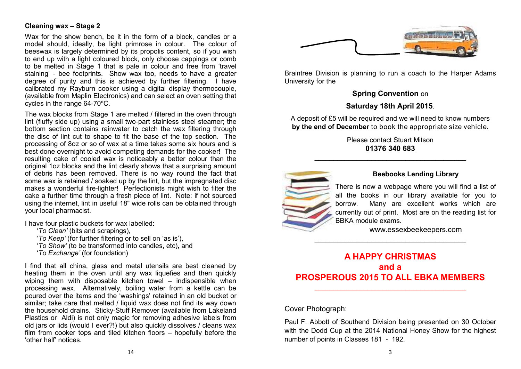### **Cleaning wax – Stage 2**

Wax for the show bench, be it in the form of a block, candles or a model should, ideally, be light primrose in colour. The colour of beeswax is largely determined by its propolis content, so if you wish to end up with a light coloured block, only choose cappings or comb to be melted in Stage 1 that is pale in colour and free from 'travel staining' - bee footprints. Show wax too, needs to have a greater degree of purity and this is achieved by further filtering. I have calibrated my Rayburn cooker using a digital display thermocouple, (available from Maplin Electronics) and can select an oven setting that cycles in the range 64-70ºC.

The wax blocks from Stage 1 are melted / filtered in the oven through lint (fluffy side up) using a small two-part stainless steel steamer; the bottom section contains rainwater to catch the wax filtering through the disc of lint cut to shape to fit the base of the top section. The processing of 8oz or so of wax at a time takes some six hours and is best done overnight to avoid competing demands for the cooker! The resulting cake of cooled wax is noticeably a better colour than the original 1oz blocks and the lint clearly shows that a surprising amount of debris has been removed. There is no way round the fact that some wax is retained / soaked up by the lint, but the impregnated disc makes a wonderful fire-lighter! Perfectionists might wish to filter the cake a further time through a fresh piece of lint. Note: if not sourced using the internet, lint in useful 18" wide rolls can be obtained through your local pharmacist.

I have four plastic buckets for wax labelled:

'*To Clean'* (bits and scrapings), '*To Keep'* (for further filtering or to sell on 'as is'),

'*To Show'* (to be transformed into candles, etc), and

'*To Exchange'* (for foundation)

I find that all china, glass and metal utensils are best cleaned by heating them in the oven until any wax liquefies and then quickly wiping them with disposable kitchen towel – indispensible when processing wax. Alternatively, boiling water from a kettle can be poured over the items and the 'washings' retained in an old bucket or similar; take care that melted / liquid wax does not find its way down the household drains. Sticky-Stuff Remover (available from Lakeland Plastics or Aldi) is not only magic for removing adhesive labels from old jars or lids (would I ever?!) but also quickly dissolves / cleans wax film from cooker tops and tiled kitchen floors – hopefully before the 'other half' notices.



Braintree Division is planning to run a coach to the Harper Adams University for the

**Spring Convention** on

## **Saturday 18th April 2015**.

A deposit of £5 will be required and we will need to know numbers **by the end of December** to book the appropriate size vehicle.

> Please contact Stuart Mitson **01376 340 683**

\_\_\_\_\_\_\_\_\_\_\_\_\_\_\_\_\_\_\_\_\_\_\_\_\_\_\_\_\_\_\_\_\_\_\_\_\_\_\_\_



### **Beebooks Lending Library**

There is now a webpage where you will find a list of all the books in our library available for you to borrow. Many are excellent works which are currently out of print. Most are on the reading list for BBKA module exams.

www.essexbeekeepers.com

## **A HAPPY CHRISTMAS and a PROSPEROUS 2015 TO ALL EBKA MEMBERS**

\_\_\_\_\_\_\_\_\_\_\_\_\_\_\_\_\_\_\_\_\_\_\_\_\_\_\_\_\_\_\_\_\_\_\_\_\_\_\_\_

\_\_\_\_\_\_\_\_\_\_\_\_\_\_\_\_\_\_\_\_\_\_\_\_\_\_\_\_\_\_\_\_\_\_\_\_\_\_\_\_

Cover Photograph:

Paul F. Abbott of Southend Division being presented on 30 October with the Dodd Cup at the 2014 National Honey Show for the highest number of points in Classes 181 - 192.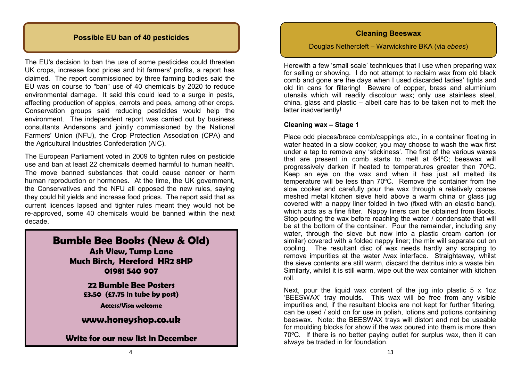## **Possible EU ban of 40 pesticides**

The EU's decision to ban the use of some pesticides could threaten UK crops, increase food prices and hit farmers' profits, a report has claimed. The report commissioned by three farming bodies said the EU was on course to "ban" use of 40 chemicals by 2020 to reduce environmental damage. It said this could lead to a surge in pests, affecting production of apples, carrots and peas, among other crops. Conservation groups said reducing pesticides would help the environment. The independent report was carried out by business consultants Andersons and jointly commissioned by the National Farmers' Union (NFU), the Crop Protection Association (CPA) and the Agricultural Industries Confederation (AIC).

The European Parliament voted in 2009 to tighten rules on pesticide use and ban at least 22 chemicals deemed harmful to human health. The move banned substances that could cause cancer or harm human reproduction or hormones. At the time, the UK government, the Conservatives and the NFU all opposed the new rules, saying they could hit yields and increase food prices. The report said that as current licences lapsed and tighter rules meant they would not be re-approved, some 40 chemicals would be banned within the next decade.

## **Bumble Bee Books (New & Old) Ash View, Tump Lane**

**Much Birch, Hereford HR2 8HP 01981 540 907**

> **22 Bumble Bee Posters £3.50 (£7.75 in tube by post)**

> > **Access/Visa welcome**

## **[www.honeyshop.co.uk](http://www.honeyshop.co.uk)**

**Write for our new list in December**

Douglas Nethercleft – Warwickshire BKA (via *ebees*)

Herewith a few 'small scale' techniques that I use when preparing wax for selling or showing. I do not attempt to reclaim wax from old black comb and gone are the days when I used discarded ladies' tights and old tin cans for filtering! Beware of copper, brass and aluminium utensils which will readily discolour wax; only use stainless steel, china, glass and plastic – albeit care has to be taken not to melt the latter inadvertently!

### **Cleaning wax – Stage 1**

Place odd pieces/brace comb/cappings etc., in a container floating in water heated in a slow cooker; you may choose to wash the wax first under a tap to remove any 'stickiness'. The first of the various waxes that are present in comb starts to melt at 64ºC; beeswax will progressively darken if heated to temperatures greater than 70ºC. Keep an eye on the wax and when it has just all melted its temperature will be less than 70ºC. Remove the container from the slow cooker and carefully pour the wax through a relatively coarse meshed metal kitchen sieve held above a warm china or glass jug covered with a nappy liner folded in two (fixed with an elastic band), which acts as a fine filter. Nappy liners can be obtained from Boots. Stop pouring the wax before reaching the water / condensate that will be at the bottom of the container. Pour the remainder, including any water, through the sieve but now into a plastic cream carton (or similar) covered with a folded nappy liner; the mix will separate out on cooling. The resultant disc of wax needs hardly any scraping to remove impurities at the water /wax interface. Straightaway, whilst the sieve contents are still warm, discard the detritus into a waste bin. Similarly, whilst it is still warm, wipe out the wax container with kitchen roll.

Next, pour the liquid wax content of the jug into plastic 5 x 1oz 'BEESWAX' tray moulds. This wax will be free from any visible impurities and, if the resultant blocks are not kept for further filtering, can be used / sold on for use in polish, lotions and potions containing beeswax. Note: the BEESWAX trays will distort and not be useable for moulding blocks for show if the wax poured into them is more than 70ºC. If there is no better paying outlet for surplus wax, then it can always be traded in for foundation.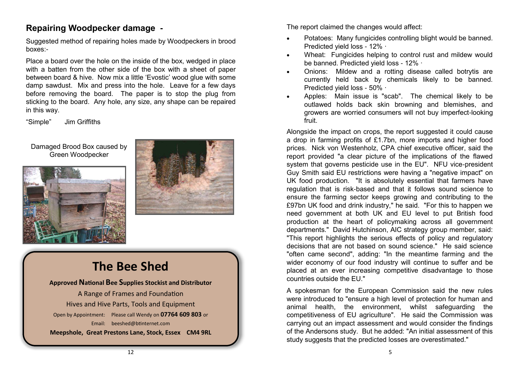## **Repairing Woodpecker damage -**

Suggested method of repairing holes made by Woodpeckers in brood boxes:-

Place a board over the hole on the inside of the box, wedged in place with a batten from the other side of the box with a sheet of paper between board & hive. Now mix a little 'Evostic' wood glue with some damp sawdust. Mix and press into the hole. Leave for a few days before removing the board. The paper is to stop the plug from sticking to the board. Any hole, any size, any shape can be repaired in this way.

"Simple" Jim Griffiths

Damaged Brood Box caused by Green Woodpecker





# **The Bee Shed**

## **Approved National Bee Supplies Stockist and Distributor** A Range of Frames and Foundation Hives and Hive Parts, Tools and Equipment Open by Appointment: Please call Wendy on **07764 609 803** or Email: [beeshed@btinternet.com](mailto:beeshed@btinternet.com) **Meepshole, Great Prestons Lane, Stock, Essex CM4 9RL**

The report claimed the changes would affect:

- Potatoes: Many fungicides controlling blight would be banned. Predicted yield loss - 12% ·
- Wheat: Fungicides helping to control rust and mildew would be banned. Predicted yield loss - 12% ·
- Onions: Mildew and a rotting disease called botrytis are currently held back by chemicals likely to be banned. Predicted yield loss - 50% ·
- Apples: Main issue is "scab". The chemical likely to be outlawed holds back skin browning and blemishes, and growers are worried consumers will not buy imperfect-looking fruit.

Alongside the impact on crops, the report suggested it could cause a drop in farming profits of £1.7bn, more imports and higher food prices. Nick von Westenholz, CPA chief executive officer, said the report provided "a clear picture of the implications of the flawed system that governs pesticide use in the EU". NFU vice-president Guy Smith said EU restrictions were having a "negative impact" on UK food production. "It is absolutely essential that farmers have regulation that is risk-based and that it follows sound science to ensure the farming sector keeps growing and contributing to the £97bn UK food and drink industry," he said. "For this to happen we need government at both UK and EU level to put British food production at the heart of policymaking across all government departments." David Hutchinson, AIC strategy group member, said: "This report highlights the serious effects of policy and regulatory decisions that are not based on sound science." He said science "often came second", adding: "In the meantime farming and the wider economy of our food industry will continue to suffer and be placed at an ever increasing competitive disadvantage to those countries outside the EU."

A spokesman for the European Commission said the new rules were introduced to "ensure a high level of protection for human and animal health, the environment, whilst safeguarding the competitiveness of EU agriculture". He said the Commission was carrying out an impact assessment and would consider the findings of the Andersons study. But he added: "An initial assessment of this study suggests that the predicted losses are overestimated."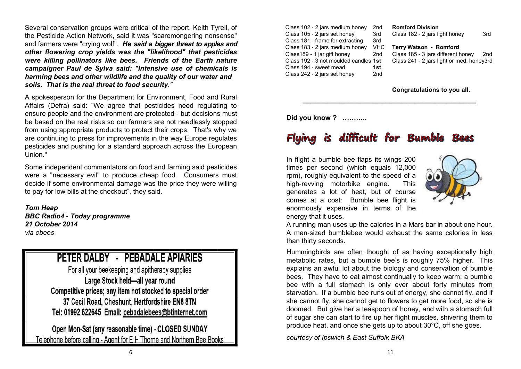Several conservation groups were critical of the report. Keith Tyrell, of the Pesticide Action Network, said it was "scaremongering nonsense" and farmers were "crying wolf". *He said a bigger threat to apples and other flowering crop yields was the "likelihood" that pesticides were killing pollinators like bees. Friends of the Earth nature campaigner Paul de Sylva said: "Intensive use of chemicals is harming bees and other wildlife and the quality of our water and soils. That is the real threat to food security."*

A spokesperson for the Department for Environment, Food and Rural Affairs (Defra) said: "We agree that pesticides need regulating to ensure people and the environment are protected - but decisions must be based on the real risks so our farmers are not needlessly stopped from using appropriate products to protect their crops. That's why we are continuing to press for improvements in the way Europe regulates pesticides and pushing for a standard approach across the European Union."

Some independent commentators on food and farming said pesticides were a "necessary evil" to produce cheap food. Consumers must decide if some environmental damage was the price they were willing to pay for low bills at the checkout", they said.

*Tom Heap BBC Radio4* **-** *Today programme 21 October 2014 via ebees*

## PETER DALBY - PEBADALE APIARIES

For all your beekeeping and apitherapy supplies Large Stock held-all year round Competitive prices; any item not stocked to special order 37 Cecil Road, Cheshunt, Hertfordshire EN8 8TN Tel: 01992 622645 Email: pebadalebees@btinternet.com

Open Mon-Sat (any reasonable time) - CLOSED SUNDAY Felephone before calling - Agent for E H Thorne and Northern Bee Books Class 102 - 2 jars medium honey 2nd Class 105 - 2 jars set honey 3rd Class 181 - frame for extracting 3rd Class 183 - 2 jars medium honey VHC Class189 - 1 jar gift honey 2nd Class 192 - 3 not moulded candles **1st** Class 194 - sweet mead **1st** Class 242 - 2 jars set honey 2nd **Romford Division**

Class 182 - 2 jars light honey 3rd

**Terry Watson - Romford** Class 185 - 3 jars different honey 2nd Class 241 - 2 jars light or med. honey3rd

**Congratulations to you all.**

**Did you know ? ………..**

## Flying is difficult for Bumble Bees

**\_\_\_\_\_\_\_\_\_\_\_\_\_\_\_\_\_\_\_\_\_\_\_\_\_\_\_\_\_\_\_\_\_\_\_\_\_\_\_\_\_\_**

In flight a bumble bee flaps its wings 200 times per second (which equals 12,000 rpm), roughly equivalent to the speed of a high-revving motorbike engine. This generates a lot of heat, but of course comes at a cost: Bumble bee flight is enormously expensive in terms of the energy that it uses.



A running man uses up the calories in a Mars bar in about one hour. A man-sized bumblebee would exhaust the same calories in less than thirty seconds.

Hummingbirds are often thought of as having exceptionally high metabolic rates, but a bumble bee's is roughly 75% higher. This explains an awful lot about the biology and conservation of bumble bees. They have to eat almost continually to keep warm; a bumble bee with a full stomach is only ever about forty minutes from starvation. If a bumble bee runs out of energy, she cannot fly, and if she cannot fly, she cannot get to flowers to get more food, so she is doomed. But give her a teaspoon of honey, and with a stomach full of sugar she can start to fire up her flight muscles, shivering them to produce heat, and once she gets up to about 30°C, off she goes.

*courtesy of Ipswich & East Suffolk BKA*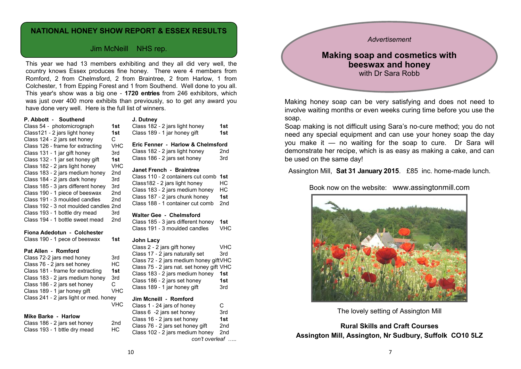### **NATIONAL HONEY SHOW REPORT & ESSEX RESULTS**

## Jim McNeill NHS rep.

This year we had 13 members exhibiting and they all did very well, the country knows Essex produces fine honey. There were 4 members from Romford, 2 from Chelmsford, 2 from Braintree, 2 from Harlow, 1 from Colchester, 1 from Epping Forest and 1 from Southend. Well done to you all. This year's show was a big one - **1720 entries** from 246 exhibitors, which was just over 400 more exhibits than previously, so to get any award you have done very well. Here is the full list of winners.

### **P. Abbott - Southend**

### Class 54 - photomicrograph **1st** Class121 - 2 jars light honey **1st** Class 124 - 2 jars set honey C<br>Class 126 - frame for extracting VHC  $Class 126 - frame for extractina$ Class 131 - 1 jar gift honey 3rd Class 132 - 1 jar set honey gift **1st** Class 182 - 2 jars light honey VHC Class 183 - 2 jars medium honey 2nd Class 184 - 2 jars dark honey 3rd Class 185 - 3 jars different honey 3rd Class 190 - 1 piece of beeswax 2nd Class 191 - 3 moulded candles 2nd Class 192 - 3 not moulded candles 2nd Class 193 - 1 bottle dry mead 3rd Class 194 - 1 bottle sweet mead 2nd

#### **Fiona Adedotun - Colchester**

Class 190 - 1 pece of beeswax **1st**

#### **Pat Allen - Romford**

| Class 72-2 jars med honey              | 3rd |
|----------------------------------------|-----|
| Class 76 - 2 jars set honey            | НC  |
| Class 181 - frame for extracting       | 1st |
| Class 183 - 2 jars medium honey        | 3rd |
| Class 186 - 2 jars set honey           | C   |
| Class 189 - 1 jar honey gift           | VHC |
| Class 241 - 2 jars light or med. honey |     |
|                                        |     |

#### **Mike Barke - Harlow**

| Class 186 - 2 jars set honey | 2nd |
|------------------------------|-----|
| Class 193 - 1 bttle dry mead | HC. |

### **J. Dutney**

| J. Dutney<br>Class 182 - 2 jars light honey<br>Class 189 - 1 jar honey gift | 1st<br>1st |
|-----------------------------------------------------------------------------|------------|
| Eric Fenner - Harlow & Chelmsford                                           |            |
| Class 182 - 2 jars light honey                                              | 2nd        |
| Class 186 - 2 jars set honey                                                | 3rd        |
| Janet French - Braintree                                                    |            |
| Class 110 - 2 containers cut comb                                           | 1st        |
| Class182 - 2 jars light honey                                               | НC         |
| Class 183 - 2 jars medium honey                                             | НC         |
| Class 187 - 2 jars chunk honey                                              | 1st        |

### **Walter Gee - Chelmsford**

Class 185 - 3 jars different honey **1st** Class 191 - 3 moulded candles VHC

Class 188 - 1 container cut comb 2nd

#### **John Lacy**

| Class 2 - 2 jars gift honey               | VHC |
|-------------------------------------------|-----|
| Class 17 - 2 jars naturally set           | 3rd |
| Class 72 - 2 jars medium honey gift VHC   |     |
| Class 75 - 2 jars nat. set honey gift VHC |     |
| Class 183 - 2 jars medium honey           | 1st |
| Class 186 - 2 jars set honey              | 1st |
| Class 189 - 1 jar honey gift              | 3rd |
| Jim Mcneill - Romford                     |     |
|                                           |     |
| Class 1 - 24 jars of honey                | C   |
| Class 6 -2 jars set honey                 | 3rd |
| Class 16 - 2 jars set honey               | 1st |
| Class 76 - 2 jars set honey gift          | 2nd |
| Class 102 - 2 jars medium honey           | 2nd |
|                                           |     |

*con't overleaf …..*

### *Advertisement*

## **Making soap and cosmetics with beeswax and honey** with Dr Sara Robb

Making honey soap can be very satisfying and does not need to involve waiting months or even weeks curing time before you use the soap.

Soap making is not difficult using Sara's no-cure method; you do not need any special equipment and can use your honey soap the day you make it — no waiting for the soap to cure. Dr Sara will demonstrate her recipe, which is as easy as making a cake, and can be used on the same day!

Assington Mill, **Sat 31 January 2015**. £85 inc. home-made lunch.

### Book now on the website: www.assingtonmill.com



The lovely setting of Assington Mill

## **Rural Skills and Craft Courses Assington Mill, Assington, Nr Sudbury, Suffolk CO10 5LZ**